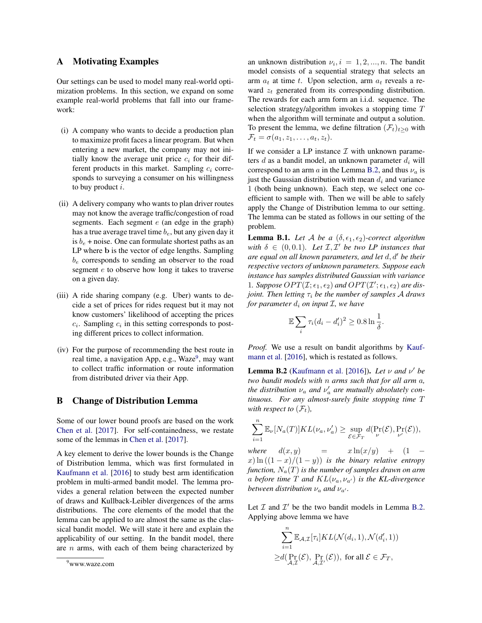# A Motivating Examples

Our settings can be used to model many real-world optimization problems. In this section, we expand on some example real-world problems that fall into our framework:

- (i) A company who wants to decide a production plan to maximize profit faces a linear program. But when entering a new market, the company may not initially know the average unit price  $c_i$  for their different products in this market. Sampling  $c_i$  corresponds to surveying a consumer on his willingness to buy product  $i$ .
- (ii) A delivery company who wants to plan driver routes may not know the average traffic/congestion of road segments. Each segment  $e$  (an edge in the graph) has a true average travel time  $b_e$ , but any given day it is  $b_e$  + noise. One can formulate shortest paths as an LP where b is the vector of edge lengths. Sampling  $b_e$  corresponds to sending an observer to the road segment e to observe how long it takes to traverse on a given day.
- (iii) A ride sharing company (e.g. Uber) wants to decide a set of prices for rides request but it may not know customers' likelihood of accepting the prices  $c_i$ . Sampling  $c_i$  in this setting corresponds to posting different prices to collect information.
- (iv) For the purpose of recommending the best route in real time, a navigation App, e.g., Waze<sup>[9](#page-0-0)</sup>, may want to collect traffic information or route information from distributed driver via their App.

## B Change of Distribution Lemma

Some of our lower bound proofs are based on the work Chen et al. [2017]. For self-containedness, we restate some of the lemmas in Chen et al. [2017].

A key element to derive the lower bounds is the Change of Distribution lemma, which was first formulated in Kaufmann et al. [2016] to study best arm identification problem in multi-armed bandit model. The lemma provides a general relation between the expected number of draws and Kullback-Leibler divergences of the arms distributions. The core elements of the model that the lemma can be applied to are almost the same as the classical bandit model. We will state it here and explain the applicability of our setting. In the bandit model, there are  $n$  arms, with each of them being characterized by

an unknown distribution  $\nu_i$ ,  $i = 1, 2, ..., n$ . The bandit model consists of a sequential strategy that selects an arm  $a_t$  at time t. Upon selection, arm  $a_t$  reveals a reward  $z_t$  generated from its corresponding distribution. The rewards for each arm form an i.i.d. sequence. The selection strategy/algorithm invokes a stopping time T when the algorithm will terminate and output a solution. To present the lemma, we define filtration  $(\mathcal{F}_t)_{t>0}$  with  $\mathcal{F}_t = \sigma(a_1, z_1, \ldots, a_t, z_t).$ 

If we consider a LP instance  $\mathcal I$  with unknown parameters d as a bandit model, an unknown parameter  $d_i$  will correspond to an arm  $a$  in the Lemma [B.2,](#page-0-1) and thus  $\nu_a$  is just the Gaussian distribution with mean  $d_i$  and variance 1 (both being unknown). Each step, we select one coefficient to sample with. Then we will be able to safely apply the Change of Distribution lemma to our setting. The lemma can be stated as follows in our setting of the problem.

<span id="page-0-2"></span>**Lemma B.1.** Let A be a  $(\delta, \epsilon_1, \epsilon_2)$ -correct algorithm with  $\delta \in (0, 0.1)$ *. Let*  $\mathcal{I}, \mathcal{I}'$  *be two LP instances that are equal on all known parameters, and let d, d' be their respective vectors of unknown parameters. Suppose each instance has samples distributed Gaussian with variance* 1. Suppose  $OPT(\mathcal{I}; \epsilon_1, \epsilon_2)$  and  $OPT(\mathcal{I}'; \epsilon_1, \epsilon_2)$  are dis*joint. Then letting*  $\tau_i$  *be the number of samples A draws for parameter*  $d_i$  *on input*  $\mathcal{I}$ *, we have* 

$$
\mathbb{E}\sum_{i}\tau_i(d_i-d_i')^2\geq 0.8\ln\frac{1}{\delta}.
$$

*Proof.* We use a result on bandit algorithms by Kaufmann et al. [2016], which is restated as follows.

<span id="page-0-1"></span>**Lemma B.2** (Kaufmann et al. [2016]). Let  $\nu$  and  $\nu'$  be *two bandit models with* n *arms such that for all arm* a*, the distribution*  $\nu_a$  *and*  $\nu'_a$  *are mutually absolutely continuous. For any almost-surely finite stopping time* T *with respect to*  $(\mathcal{F}_t)$ ,

$$
\sum_{i=1}^n \mathbb{E}_{\nu}[N_a(T)]KL(\nu_a, \nu_a') \geq \sup_{\mathcal{E} \in \mathcal{F}_T} d(\Pr_{\nu}(\mathcal{E}), \Pr_{\nu'}(\mathcal{E})),
$$

*where*  $d(x, y) = x \ln(x/y) + (1$  $x) \ln((1-x)/(1-y))$  *is the binary relative entropy function,*  $N_a(T)$  *is the number of samples drawn on arm* a before time T and  $KL(\nu_a, \nu_{a'})$  is the KL-divergence *between distribution*  $\nu_a$  *and*  $\nu_{a'}$ *.* 

Let  $I$  and  $I'$  be the two bandit models in Lemma [B.2.](#page-0-1) Applying above lemma we have

$$
\sum_{i=1}^{n} \mathbb{E}_{\mathcal{A},\mathcal{I}}[\tau_i] KL(\mathcal{N}(d_i, 1), \mathcal{N}(d'_i, 1))
$$
  
 
$$
\geq d(\Pr_{\mathcal{A},\mathcal{I}}(\mathcal{E}), \Pr_{\mathcal{A},\mathcal{I}'}(\mathcal{E})), \text{ for all } \mathcal{E} \in \mathcal{F}_T,
$$

<span id="page-0-0"></span><sup>9</sup>www.waze.com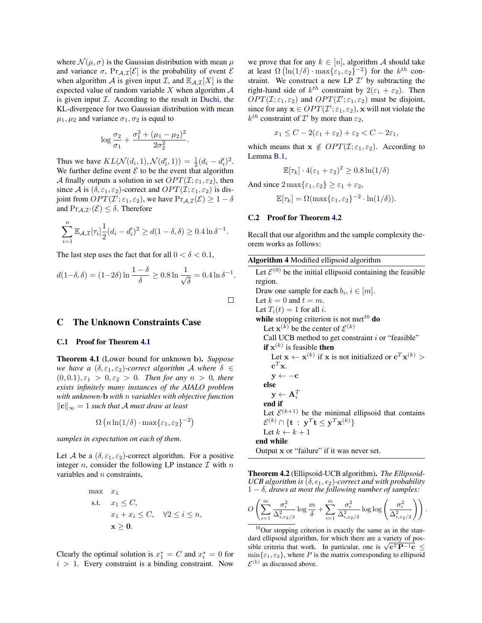where  $\mathcal{N}(\mu, \sigma)$  is the Gaussian distribution with mean  $\mu$ and variance  $\sigma$ ,  $Pr_{A,\mathcal{I}}[\mathcal{E}]$  is the probability of event  $\mathcal E$ when algorithm A is given input T, and  $\mathbb{E}_{A,\mathcal{I}}[X]$  is the expected value of random variable  $X$  when algorithm  $A$ is given input  $I$ . According to the result in Duchi, the KL-divergence for two Gaussian distribution with mean  $\mu_1, \mu_2$  and variance  $\sigma_1, \sigma_2$  is equal to

$$
\log \frac{\sigma_2}{\sigma_1} + \frac{\sigma_1^2 + (\mu_1 - \mu_2)^2}{2\sigma_2^2}
$$

.

 $\Box$ 

Thus we have  $KL(\mathcal{N}(d_i, 1), \mathcal{N}(d'_i, 1)) = \frac{1}{2}(d_i - d'_i)^2$ . We further define event  $\mathcal E$  to be the event that algorithm A finally outputs a solution in set  $OPT(\mathcal{I}; \varepsilon_1, \varepsilon_2)$ , then since A is  $(\delta, \varepsilon_1, \varepsilon_2)$ -correct and  $OPT(\mathcal{I}; \varepsilon_1, \varepsilon_2)$  is disjoint from  $OPT(\mathcal{I}'; \varepsilon_1, \varepsilon_2)$ , we have  $Pr_{\mathcal{A},\mathcal{I}}(\mathcal{E}) \geq 1 - \delta$ and  $Pr_{A,\mathcal{I}}(\mathcal{E}) \leq \delta$ . Therefore

$$
\sum_{i=1}^{n} \mathbb{E}_{\mathcal{A},\mathcal{I}}[\tau_i] \frac{1}{2} (d_i - d'_i)^2 \ge d(1 - \delta, \delta) \ge 0.4 \ln \delta^{-1}.
$$

The last step uses the fact that for all  $0 < \delta < 0.1$ ,

$$
d(1-\delta,\delta) = (1-2\delta) \ln \frac{1-\delta}{\delta} \ge 0.8 \ln \frac{1}{\sqrt{\delta}} = 0.4 \ln \delta^{-1}.
$$

# C The Unknown Constraints Case

### C.1 Proof for Theorem 4.1

Theorem 4.1 (Lower bound for unknown b). *Suppose we have a*  $(\delta, \varepsilon_1, \varepsilon_2)$ -correct algorithm A where  $\delta \in$  $(0, 0.1), \varepsilon_1 > 0, \varepsilon_2 > 0$ . Then for any  $n > 0$ , there *exists infinitely many instances of the AIALO problem with unknown-*b *with* n *variables with objective function*  $\|\mathbf{c}\|_{∞} = 1$  *such that A must draw at least* 

$$
\Omega\left(n\ln(1/\delta)\cdot\max\{\varepsilon_1,\varepsilon_2\}^{-2}\right)
$$

*samples in expectation on each of them.*

Let A be a  $(\delta, \varepsilon_1, \varepsilon_2)$ -correct algorithm. For a positive integer *n*, consider the following LP instance  $\mathcal I$  with  $n$ variables and n constraints,

max 
$$
x_1
$$
  
\ns.t.  $x_1 \leq C$ ,  
\n $x_1 + x_i \leq C$ ,  $\forall 2 \leq i \leq n$ ,  
\n $x \geq 0$ .

Clearly the optimal solution is  $x_1^* = C$  and  $x_i^* = 0$  for  $i > 1$ . Every constraint is a binding constraint. Now we prove that for any  $k \in [n]$ , algorithm A should take at least  $\Omega\left(\ln(1/\delta)\cdot \max\{\varepsilon_1, \varepsilon_2\}^{-2}\right)$  for the  $k^{th}$  constraint. We construct a new LP  $\mathcal{I}'$  by subtracting the right-hand side of  $k^{th}$  constraint by  $2(\varepsilon_1 + \varepsilon_2)$ . Then  $OPT(\mathcal{I}; \varepsilon_1, \varepsilon_2)$  and  $OPT(\mathcal{I}'; \varepsilon_1, \varepsilon_2)$  must be disjoint, since for any  $\mathbf{x} \in OPT(\mathcal{I}'; \varepsilon_1, \varepsilon_2)$ , x will not violate the  $k^{th}$  constraint of  $\mathcal{I}'$  by more than  $\varepsilon_2$ ,

$$
x_1 \leq C - 2(\varepsilon_1 + \varepsilon_2) + \varepsilon_2 < C - 2\varepsilon_1,
$$

which means that  $x \notin OPT(I; \varepsilon_1, \varepsilon_2)$ . According to Lemma [B.1,](#page-0-2)

$$
\mathbb{E}[\tau_k] \cdot 4(\varepsilon_1 + \varepsilon_2)^2 \ge 0.8 \ln(1/\delta)
$$

And since  $2 \max\{\varepsilon_1, \varepsilon_2\} \geq \varepsilon_1 + \varepsilon_2$ ,

$$
\mathbb{E}[\tau_k] = \Omega(\max\{\varepsilon_1, \varepsilon_2\}^{-2} \cdot \ln(1/\delta)).
$$

#### C.2 Proof for Theorem 4.2

Recall that our algorithm and the sample complexity theorem works as follows:

| Algorithm 4 Modified ellipsoid algorithm |  |
|------------------------------------------|--|
|                                          |  |

Output x or "failure" if it was never set.

Theorem 4.2 (Ellipsoid-UCB algorithm). *The Ellipsoid-UCB algorithm is*  $(\delta, \epsilon_1, \epsilon_2)$ -correct and with probability 1 − δ*, draws at most the following number of samples:*

$$
O\left(\sum_{i=1}^m \frac{\sigma_i^2}{\Delta_{i,\varepsilon_2/2}^2} \log \frac{m}{\delta} + \sum_{i=1}^m \frac{\sigma_i^2}{\Delta_{i,\varepsilon_2/2}^2} \log \log \left(\frac{\sigma_i^2}{\Delta_{i,\varepsilon_2/2}^2}\right)\right).
$$

<span id="page-1-0"></span><sup>10</sup>Our stopping criterion is exactly the same as in the standard ellipsoid algorithm, for which there are a variety of posaard empsold algorithm, for which there are a variety of possible criteria that work. In particular, one is  $\sqrt{c^T P^{-1} c} \le$  $\min\{\varepsilon_1, \varepsilon_2\}$ , where P is the matrix corresponding to ellipsoid  $\mathcal{E}^{(k)}$  as discussed above.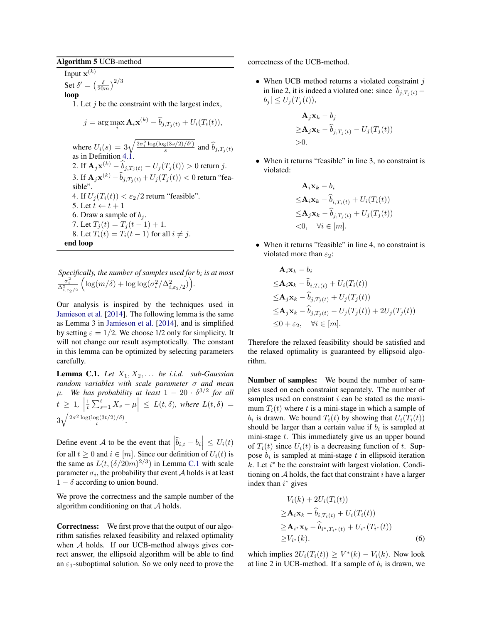## Algorithm 5 UCB-method

Input  $\mathbf{x}^{(k)}$ Set  $\delta' = \left(\frac{\delta}{20m}\right)^{2/3}$ loop

1. Let  $j$  be the constraint with the largest index,

$$
j = \arg \max_{i} \mathbf{A}_{i} \mathbf{x}^{(k)} - \hat{b}_{j,T_{j}(t)} + U_{i}(T_{i}(t)),
$$
  
where  $U_{i}(s) = 3\sqrt{\frac{2\sigma_{i}^{2} \log(\log(3s/2)/\delta')}{s}}$  and  $\hat{b}_{j,T_{j}(t)}$   
as in Definition 4.1.  
2. If  $\mathbf{A}_{j} \mathbf{x}^{(k)} - \hat{b}_{j,T_{j}(t)} - U_{j}(T_{j}(t)) > 0$  return  $j$ .  
3. If  $\mathbf{A}_{j} \mathbf{x}^{(k)} - \hat{b}_{j,T_{j}(t)} + U_{j}(T_{j}(t)) < 0$  return "feasible".  
4. If  $U_{j}(T_{i}(t)) < \varepsilon_{2}/2$  return "feasible".  
5. Let  $t \leftarrow t + 1$   
6. Draw a sample of  $b_{j}$ .  
7. Let  $T_{j}(t) = T_{j}(t-1) + 1$ .  
8. Let  $T_{i}(t) = T_{i}(t-1)$  for all  $i \neq j$ .  
end loop

Specifically, the number of samples used for  $b_i$  is at most  $\frac{\sigma_i^2}{\Delta_{i,\varepsilon_2/2}^2}$  $\left(\log(m/\delta) + \log\log(\sigma_i^2/\Delta_{i,\varepsilon_2/2}^2)\right)$ .

Our analysis is inspired by the techniques used in Jamieson et al. [2014]. The following lemma is the same as Lemma 3 in Jamieson et al. [2014], and is simplified by setting  $\varepsilon = 1/2$ . We choose 1/2 only for simplicity. It will not change our result asymptotically. The constant in this lemma can be optimized by selecting parameters carefully.

<span id="page-2-0"></span>**Lemma C.1.** *Let*  $X_1, X_2, \ldots$  *be i.i.d. sub-Gaussian random variables with scale parameter* σ *and mean*  $\mu$ . We has probability at least  $1-20\cdot\delta^{3/2}$  for all  $t \geq 1, \left| \frac{1}{t} \sum_{s=1}^t X_s - \mu \right| \leq L(t, \delta)$ , where  $L(t, \delta) =$  $\overline{1}$  $3\sqrt{\frac{2\sigma^2\log(\log(3t/2)/\delta)}{t}}$  $\frac{g(3t/2)/\delta)}{t}$ .

Define event A to be the event that  $\left|\hat{b}_{i,t} - b_i\right| \le U_i(t)$ for all  $t \geq 0$  and  $i \in [m]$ . Since our definition of  $U_i(t)$  is the same as  $L(t, (\delta/20m)^{2/3})$  in Lemma [C.1](#page-2-0) with scale parameter  $\sigma_i$ , the probability that event  ${\cal A}$  holds is at least  $1 - \delta$  according to union bound.

We prove the correctness and the sample number of the algorithm conditioning on that  $A$  holds.

Correctness: We first prove that the output of our algorithm satisfies relaxed feasibility and relaxed optimality when A holds. If our UCB-method always gives correct answer, the ellipsoid algorithm will be able to find an  $\varepsilon_1$ -suboptimal solution. So we only need to prove the correctness of the UCB-method.

• When UCB method returns a violated constraint  $j$ in line 2, it is indeed a violated one: since  $\hat{b}_{j,T_i(t)}$  –  $|b_i| \leq U_i(T_i(t)),$ 

$$
\mathbf{A}_j \mathbf{x}_k - b_j
$$
  
\n
$$
\geq \mathbf{A}_j \mathbf{x}_k - \widehat{b}_{j,T_j(t)} - U_j(T_j(t))
$$
  
\n
$$
>0.
$$

• When it returns "feasible" in line 3, no constraint is violated:

$$
\mathbf{A}_i \mathbf{x}_k - b_i
$$
  
\n
$$
\leq \mathbf{A}_i \mathbf{x}_k - \widehat{b}_{i,T_i(t)} + U_i(T_i(t))
$$
  
\n
$$
\leq \mathbf{A}_j \mathbf{x}_k - \widehat{b}_{j,T_j(t)} + U_j(T_j(t))
$$
  
\n
$$
< 0, \quad \forall i \in [m].
$$

• When it returns "feasible" in line 4, no constraint is violated more than  $\varepsilon_2$ :

$$
\mathbf{A}_{i}\mathbf{x}_{k} - b_{i}
$$
\n
$$
\leq \mathbf{A}_{i}\mathbf{x}_{k} - \widehat{b}_{i,T_{i}(t)} + U_{i}(T_{i}(t))
$$
\n
$$
\leq \mathbf{A}_{j}\mathbf{x}_{k} - \widehat{b}_{j,T_{j}(t)} + U_{j}(T_{j}(t))
$$
\n
$$
\leq \mathbf{A}_{j}\mathbf{x}_{k} - \widehat{b}_{j,T_{j}(t)} - U_{j}(T_{j}(t)) + 2U_{j}(T_{j}(t))
$$
\n
$$
\leq 0 + \varepsilon_{2}, \quad \forall i \in [m].
$$

Therefore the relaxed feasibility should be satisfied and the relaxed optimality is guaranteed by ellipsoid algorithm.

Number of samples: We bound the number of samples used on each constraint separately. The number of samples used on constraint  $i$  can be stated as the maximum  $T_i(t)$  where t is a mini-stage in which a sample of  $b_i$  is drawn. We bound  $T_i(t)$  by showing that  $U_i(T_i(t))$ should be larger than a certain value if  $b_i$  is sampled at mini-stage  $t$ . This immediately give us an upper bound of  $T_i(t)$  since  $U_i(t)$  is a decreasing function of t. Suppose  $b_i$  is sampled at mini-stage  $t$  in ellipsoid iteration  $k$ . Let  $i^*$  be the constraint with largest violation. Conditioning on  $A$  holds, the fact that constraint i have a larger index than  $i^*$  gives

<span id="page-2-1"></span>
$$
V_i(k) + 2U_i(T_i(t))
$$
  
\n
$$
\geq \mathbf{A}_i \mathbf{x}_k - \hat{b}_{i,T_i(t)} + U_i(T_i(t))
$$
  
\n
$$
\geq \mathbf{A}_{i^*} \mathbf{x}_k - \hat{b}_{i^*,T_{i^*}(t)} + U_{i^*}(T_{i^*}(t))
$$
  
\n
$$
\geq V_{i^*}(k).
$$
 (6)

which implies  $2U_i(T_i(t)) \geq V^*(k) - V_i(k)$ . Now look at line 2 in UCB-method. If a sample of  $b_i$  is drawn, we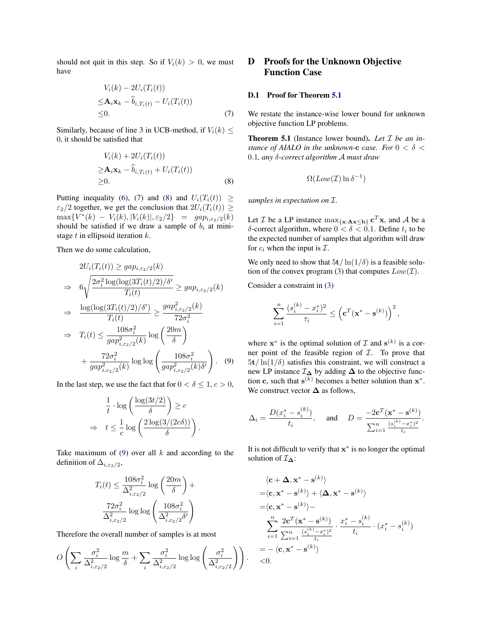should not quit in this step. So if  $V_i(k) > 0$ , we must have

$$
V_i(k) - 2U_i(T_i(t))
$$
  
\n
$$
\leq \mathbf{A}_i \mathbf{x}_k - \widehat{b}_{i,T_i(t)} - U_i(T_i(t))
$$
  
\n
$$
\leq 0.
$$
\n(7)

Similarly, because of line 3 in UCB-method, if  $V_i(k) \leq$ 0, it should be satisfied that

$$
V_i(k) + 2U_i(T_i(t))
$$
  
\n
$$
\geq \mathbf{A}_i \mathbf{x}_k - \widehat{b}_{i,T_i(t)} + U_i(T_i(t))
$$
  
\n
$$
\geq 0.
$$
 (8)

Putting inequality [\(6\)](#page-2-1), [\(7\)](#page-3-0) and [\(8\)](#page-3-1) and  $U_i(T_i(t)) \geq$  $\varepsilon_2/2$  together, we get the conclusion that  $2U_i(T_i(t)) \ge$  $\max\{V^*(k) - V_i(k), |V_i(k)|, \varepsilon_2/2\} = ga p_{i, \varepsilon_2/2}(k)$ should be satisfied if we draw a sample of  $b_i$  at ministage  $t$  in ellipsoid iteration  $k$ .

Then we do some calculation,

$$
2U_i(T_i(t)) \ge gap_{i,\varepsilon_2/2}(k)
$$
  
\n
$$
\Rightarrow 6\sqrt{\frac{2\sigma_i^2 \log(\log(3T_i(t)/2)/\delta')}{T_i(t)}} \ge gap_{i,\varepsilon_2/2}(k)
$$
  
\n
$$
\Rightarrow \frac{\log(\log(3T_i(t)/2)/\delta')}{T_i(t)} \ge \frac{gap_{i,\varepsilon_2/2}^2(k)}{72\sigma_i^2}
$$
  
\n
$$
\Rightarrow T_i(t) \le \frac{108\sigma_i^2}{gap_{i,\varepsilon_2/2}^2(k)} \log\left(\frac{20m}{\delta}\right)
$$
  
\n
$$
+ \frac{72\sigma_i^2}{gap_{i,\varepsilon_2/2}^2(k)} \log\log\left(\frac{108\sigma_i^2}{gap_{i,\varepsilon_2/2}^2(k)\delta'}\right).
$$
 (9)

In the last step, we use the fact that for  $0 < \delta \leq 1, c > 0$ ,

$$
\frac{1}{t} \cdot \log \left( \frac{\log(3t/2)}{\delta} \right) \ge c
$$
\n
$$
\Rightarrow \quad t \le \frac{1}{c} \log \left( \frac{2 \log(3/(2c\delta))}{\delta} \right).
$$

Take maximum of  $(9)$  over all k and according to the definition of  $\Delta_{i,\epsilon_2/2}$ ,

$$
T_i(t) \le \frac{108\sigma_i^2}{\Delta_{i,\varepsilon_2/2}^2} \log\left(\frac{20m}{\delta}\right) + \frac{72\sigma_i^2}{\Delta_{i,\varepsilon_2/2}^2} \log\log\left(\frac{108\sigma_i^2}{\Delta_{i,\varepsilon_2/2}^2 \delta'}\right)
$$

Therefore the overall number of samples is at most

$$
O\left(\sum_{i} \frac{\sigma_i^2}{\Delta_{i,\varepsilon_2/2}^2} \log \frac{m}{\delta} + \sum_{i} \frac{\sigma_i^2}{\Delta_{i,\varepsilon_2/2}^2} \log \log \left(\frac{\sigma_i^2}{\Delta_{i,\varepsilon_2/2}^2}\right)\right).
$$

# D Proofs for the Unknown Objective Function Case

### D.1 Proof for Theorem 5.1

<span id="page-3-0"></span>We restate the instance-wise lower bound for unknown objective function LP problems.

Theorem 5.1 (Instance lower bound). *Let* I *be an instance of AIALO in the unknown-c case. For*  $0 < \delta$  < 0.1*, any* δ*-correct algorithm* A *must draw*

$$
\Omega(Low(\mathcal{I})\ln\delta^{-1})
$$

<span id="page-3-1"></span>*samples in expectation on* I*.*

Let *T* be a LP instance  $\max_{\{x: Ax \le b\}} c^T x$ , and *A* be a  $\delta$ -correct algorithm, where  $0 < \delta < 0.1$ . Define  $t_i$  to be the expected number of samples that algorithm will draw for  $c_i$  when the input is  $\mathcal{I}$ .

We only need to show that  $5t/\ln(1/\delta)$  is a feasible solution of the convex program (3) that computes  $Low(\mathcal{I})$ .

Consider a constraint in (3)

$$
\sum_{i=1}^n\frac{(s_i^{(k)}-x_i^*)^2}{\tau_i}\leq \left(\mathbf{c}^T(\mathbf{x}^*-\mathbf{s}^{(k)})\right)^2,
$$

<span id="page-3-2"></span>where  $x^*$  is the optimal solution of  $\mathcal I$  and  $s^{(k)}$  is a corner point of the feasible region of  $I$ . To prove that  $5t/\ln(1/\delta)$  satisfies this constraint, we will construct a new LP instance  $\mathcal{I}_{\Delta}$  by adding  $\Delta$  to the objective function c, such that  $s^{(k)}$  becomes a better solution than  $x^*$ . We construct vector  $\Delta$  as follows,

$$
\Delta_i = \frac{D(x_i^* - s_i^{(k)})}{t_i}, \quad \text{and} \quad D = \frac{-2\mathbf{c}^T(\mathbf{x}^* - \mathbf{s}^{(k)})}{\sum_{i=1}^n \frac{(s_i^{(k)} - x_i^*)^2}{t_i}}.
$$

It is not difficult to verify that  $x^*$  is no longer the optimal solution of  $\mathcal{I}_{\Delta}$ :

$$
\langle \mathbf{c} + \mathbf{\Delta}, \mathbf{x}^* - \mathbf{s}^{(k)} \rangle
$$
  
=\langle \mathbf{c}, \mathbf{x}^\* - \mathbf{s}^{(k)} \rangle + \langle \mathbf{\Delta}, \mathbf{x}^\* - \mathbf{s}^{(k)} \rangle  
=\langle \mathbf{c}, \mathbf{x}^\* - \mathbf{s}^{(k)} \rangle -  
\sum\_{i=1}^n \frac{2\mathbf{c}^T(\mathbf{x}^\* - \mathbf{s}^{(k)})}{\sum\_{i=1}^n \frac{(s\_i^{(k)} - x\_i^\*)^2}{t\_i}} \cdot \frac{x\_i^\* - s\_i^{(k)}}{t\_i} \cdot (x\_i^\* - s\_i^{(k)})  
= -\langle \mathbf{c}, \mathbf{x}^\* - \mathbf{s}^{(k)} \rangle  
<0.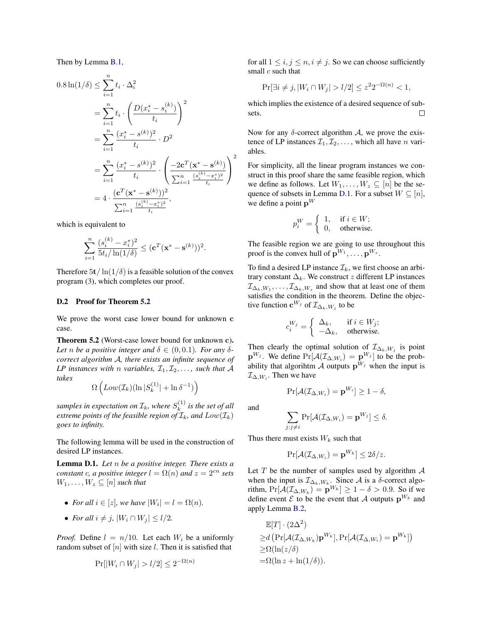Then by Lemma [B.1,](#page-0-2)

$$
0.8 \ln(1/\delta) \le \sum_{i=1}^{n} t_i \cdot \Delta_i^2
$$
  
= 
$$
\sum_{i=1}^{n} t_i \cdot \left( \frac{D(x_i^* - s_i^{(k)})}{t_i} \right)^2
$$
  
= 
$$
\sum_{i=1}^{n} \frac{(x_i^* - s^{(k)})^2}{t_i} \cdot D^2
$$
  
= 
$$
\sum_{i=1}^{n} \frac{(x_i^* - s^{(k)})^2}{t_i} \cdot \left( \frac{-2\mathbf{c}^T(\mathbf{x}^* - \mathbf{s}^{(k)})}{\sum_{i=1}^{n} \frac{(s_i^{(k)} - x_i^*)^2}{t_i}} \right)^2
$$
  
= 
$$
4 \cdot \frac{(\mathbf{c}^T(\mathbf{x}^* - \mathbf{s}^{(k)}))^2}{\sum_{i=1}^{n} \frac{(s_i^{(k)} - x_i^*)^2}{t_i}},
$$

which is equivalent to

$$
\sum_{i=1}^{n} \frac{(s_i^{(k)} - x_i^*)^2}{5t_i / \ln(1/\delta)} \leq (\mathbf{c}^T (\mathbf{x}^* - \mathbf{s}^{(k)}))^2.
$$

Therefore  $5t/\ln(1/\delta)$  is a feasible solution of the convex program (3), which completes our proof.

#### D.2 Proof for Theorem 5.2

We prove the worst case lower bound for unknown c case.

Theorem 5.2 (Worst-case lower bound for unknown c). Let *n* be a positive integer and  $\delta \in (0, 0.1)$ *. For any*  $\delta$ *correct algorithm* A*, there exists an infinite sequence of LP* instances with *n* variables,  $\mathcal{I}_1, \mathcal{I}_2, \ldots$ , such that A *takes*

$$
\Omega\left(Low({\mathcal I}_k)(\ln|S_k^{(1)}| + \ln\delta^{-1})\right)
$$

samples in expectation on  $\mathcal{I}_k$ , where  $S_k^{(1)}$  $\binom{1}{k}$  is the set of all *extreme points of the feasible region of*  $\mathcal{I}_k$ *, and*  $Low(\mathcal{I}_k)$ *goes to infinity.*

The following lemma will be used in the construction of desired LP instances.

<span id="page-4-0"></span>Lemma D.1. *Let* n *be a positive integer. There exists a constant* c, a positive integer  $l = \Omega(n)$  and  $z = 2^{cn}$  sets  $W_1, \ldots, W_z \subseteq [n]$  *such that* 

- *For all*  $i \in [z]$ *, we have*  $|W_i| = l = \Omega(n)$ *.*
- *For all*  $i \neq j$ ,  $|W_i \cap W_j| \leq l/2$ .

*Proof.* Define  $l = n/10$ . Let each  $W_i$  be a uniformly random subset of  $[n]$  with size l. Then it is satisfied that

$$
\Pr[|W_i \cap W_j| > l/2] \le 2^{-\Omega(n)}
$$

for all  $1 \le i, j \le n, i \ne j$ . So we can choose sufficiently small  $c$  such that

$$
\Pr[\exists i \neq j, |W_i \cap W_j| > l/2] \le z^2 2^{-\Omega(n)} < 1,
$$

which implies the existence of a desired sequence of subsets.  $\Box$ 

Now for any  $\delta$ -correct algorithm  $\mathcal{A}$ , we prove the existence of LP instances  $\mathcal{I}_1, \mathcal{I}_2, \ldots$ , which all have n variables.

For simplicity, all the linear program instances we construct in this proof share the same feasible region, which we define as follows. Let  $W_1, \ldots, W_z \subseteq [n]$  be the se-quence of subsets in Lemma [D.1.](#page-4-0) For a subset  $W \subseteq [n]$ , we define a point  $\mathbf{p}^W$ 

$$
p_i^W = \begin{cases} 1, & \text{if } i \in W; \\ 0, & \text{otherwise.} \end{cases}
$$

The feasible region we are going to use throughout this proof is the convex hull of  $\mathbf{p}^{W_1}, \dots, \mathbf{p}^{W_z}$ .

To find a desired LP instance  $\mathcal{I}_k$ , we first choose an arbitrary constant  $\Delta_k$ . We construct z different LP instances  $\mathcal{I}_{\Delta_k, W_1}, \ldots, \mathcal{I}_{\Delta_k, W_z}$  and show that at least one of them satisfies the condition in the theorem. Define the objective function  $\mathbf{c}^{W_j}$  of  $\mathcal{I}_{\Delta_k, W_j}$  to be

$$
c_i^{W_j} = \begin{cases} \Delta_k, & \text{if } i \in W_j; \\ -\Delta_k, & \text{otherwise.} \end{cases}
$$

Then clearly the optimal solution of  $\mathcal{I}_{\Delta_k,W_j}$  is point  $\mathbf{p}^{W_j}$ . We define  $\Pr[\mathcal{A}(\mathcal{I}_{\Delta,W_i}) = \mathbf{p}^{W_j}]$  to be the probability that algorihtm A outputs  $p^{W_j}$  when the input is  $\mathcal{I}_{\Delta,W_i}$ . Then we have

$$
\Pr[\mathcal{A}(\mathcal{I}_{\Delta,W_i}) = \mathbf{p}^{W_i}] \ge 1 - \delta,
$$

and

$$
\sum_{j:j\neq i} \Pr[\mathcal{A}(\mathcal{I}_{\Delta, W_i}) = \mathbf{p}^{W_j}] \le \delta.
$$

Thus there must exists  $W_k$  such that

$$
\Pr[\mathcal{A}(\mathcal{I}_{\Delta,W_i}) = \mathbf{p}^{W_k}] \le 2\delta/z.
$$

Let  $T$  be the number of samples used by algorithm  $A$ when the input is  $\mathcal{I}_{\Delta_k, W_k}$ . Since A is a  $\delta$ -correct algorithm,  $Pr[\mathcal{A}(\mathcal{I}_{\Delta, W_k}) = \mathbf{p}^{W_k}] \ge 1 - \delta > 0.9$ . So if we define event  $\mathcal E$  to be the event that A outputs  $\mathbf p^{W_k}$  and apply Lemma [B.2,](#page-0-1)

$$
\mathbb{E}[T] \cdot (2\Delta^2)
$$
  
\n
$$
\geq d \left( \Pr[\mathcal{A}(\mathcal{I}_{\Delta, W_k}) \mathbf{p}^{W_k}], \Pr[\mathcal{A}(\mathcal{I}_{\Delta, W_i}) = \mathbf{p}^{W_k}] \right)
$$
  
\n
$$
\geq \Omega(\ln(z/\delta))
$$
  
\n
$$
= \Omega(\ln z + \ln(1/\delta)).
$$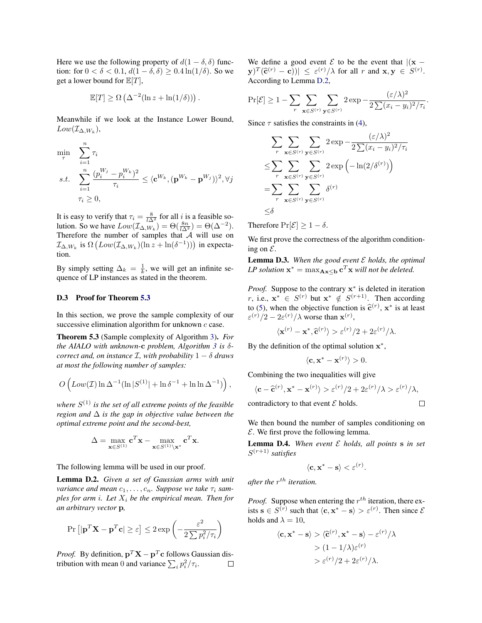Here we use the following property of  $d(1 - \delta, \delta)$  function: for  $0 < \delta < 0.1$ ,  $d(1 - \delta, \delta) \geq 0.4 \ln(1/\delta)$ . So we get a lower bound for  $\mathbb{E}[T]$ ,

$$
\mathbb{E}[T] \ge \Omega\left(\Delta^{-2}(\ln z + \ln(1/\delta))\right).
$$

Meanwhile if we look at the Instance Lower Bound,  $Low(\mathcal{I}_{\Delta, W_k}),$ 

$$
\min_{\tau} \sum_{i=1}^{n} \tau_i
$$
\n
$$
s.t. \sum_{i=1}^{n} \frac{(p_i^{W_j} - p_i^{W_k})^2}{\tau_i} \le \langle \mathbf{c}^{W_k}, (\mathbf{p}^{W_k} - \mathbf{p}^{W_j}) \rangle^2, \forall j
$$
\n
$$
\tau_i \ge 0,
$$

It is easy to verify that  $\tau_i = \frac{8}{l\Delta^2}$  for all i is a feasible solution. So we have  $Low(\mathcal{I}_{\Delta, W_k}) = \Theta(\frac{8n}{l\Delta^2}) = \Theta(\Delta^{-2}).$ Therefore the number of samples that  $\overline{A}$  will use on  $\mathcal{I}_{\Delta,W_k}$  is  $\Omega\left( Low(\mathcal{I}_{\Delta,W_k})(\ln z + \ln(\delta^{-1})) \right)$  in expectation.

By simply setting  $\Delta_k = \frac{1}{k}$ , we will get an infinite sequence of LP instances as stated in the theorem.

#### D.3 Proof for Theorem 5.3

In this section, we prove the sample complexity of our successive elimination algorithm for unknown c case.

Theorem 5.3 (Sample complexity of Algorithm 3). *For the AIALO with unknown-*c *problem, Algorithm 3 is* δ*correct and, on instance*  $I$ *, with probability*  $1 - \delta$  *draws at most the following number of samples:*

$$
O\left(Low(\mathcal{I})\ln \Delta^{-1}(\ln |S^{(1)}| + \ln \delta^{-1} + \ln \ln \Delta^{-1})\right),\,
$$

*where* S (1) *is the set of all extreme points of the feasible region and* ∆ *is the gap in objective value between the optimal extreme point and the second-best,*

$$
\Delta = \max_{\mathbf{x} \in S^{(1)}} \mathbf{c}^T \mathbf{x} - \max_{\mathbf{x} \in S^{(1)} \setminus \mathbf{x}^*} \mathbf{c}^T \mathbf{x}.
$$

The following lemma will be used in our proof.

<span id="page-5-0"></span>Lemma D.2. *Given a set of Gaussian arms with unit variance and mean*  $c_1, \ldots, c_n$ . Suppose we take  $\tau_i$  sam*ples for arm i. Let*  $X_i$  *be the empirical mean. Then for an arbitrary vector* p*,*

$$
\Pr\left[|\mathbf{p}^T\mathbf{X} - \mathbf{p}^T\mathbf{c}| \ge \varepsilon\right] \le 2 \exp\left(-\frac{\varepsilon^2}{2\sum p_i^2/\tau_i}\right)
$$

*Proof.* By definition,  $\mathbf{p}^T \mathbf{X} - \mathbf{p}^T \mathbf{c}$  follows Gaussian distribution with mean 0 and variance  $\sum_i p_i^2 / \tau_i$ .  $\Box$  We define a good event  $\mathcal E$  to be the event that  $|(x |\mathbf{y}|^T(\hat{\mathbf{c}}^{(r)} - \mathbf{c})| \leq \varepsilon^{(r)}/\lambda$  for all r and  $\mathbf{x}, \mathbf{y} \in S^{(r)}$ . According to Lemma [D.2,](#page-5-0)

$$
\Pr[\mathcal{E}] \ge 1 - \sum_{r} \sum_{\mathbf{x} \in S^{(r)}} \sum_{\mathbf{y} \in S^{(r)}} 2 \exp{-\frac{(\varepsilon/\lambda)^2}{2\sum (x_i - y_i)^2/\tau_i}}
$$

.

 $\Box$ 

Since  $\tau$  satisfies the constraints in (4),

$$
\sum_{r} \sum_{\mathbf{x} \in S^{(r)}} \sum_{\mathbf{y} \in S^{(r)}} 2 \exp{-\frac{(\varepsilon/\lambda)^2}{2\sum (x_i - y_i)^2/\tau_i}}
$$
  
\n
$$
\leq \sum_{r} \sum_{\mathbf{x} \in S^{(r)}} \sum_{\mathbf{y} \in S^{(r)}} 2 \exp\left(-\ln(2/\delta^{(r)})\right)
$$
  
\n
$$
= \sum_{r} \sum_{\mathbf{x} \in S^{(r)}} \sum_{\mathbf{y} \in S^{(r)}} \delta^{(r)}
$$
  
\n
$$
\leq \delta
$$

Therefore  $Pr[\mathcal{E}] \geq 1 - \delta$ .

We first prove the correctness of the algorithm conditioning on  $\mathcal{E}$ .

<span id="page-5-1"></span>Lemma D.3. *When the good event* E *holds, the optimal LP solution*  $\mathbf{x}^* = \max_{\mathbf{A}\mathbf{x}\leq \mathbf{b}} \mathbf{c}^T\mathbf{x}$  *will not be deleted.* 

*Proof.* Suppose to the contrary x<sup>\*</sup> is deleted in iteration r, i.e.,  $\mathbf{x}^* \in S^{(r)}$  but  $\mathbf{x}^* \notin S^{(r+1)}$ . Then according to (5), when the objective function is  $\hat{\mathbf{c}}^{(r)}$ ,  $\mathbf{x}^*$  is at least  $\hat{\mathbf{c}}^{(r)}$  (2)  $2\hat{\mathbf{c}}^{(r)}$  (1) worse than  $\mathbf{x}^{(r)}$  $\varepsilon^{(r)}/2 - 2\varepsilon^{(r)}/\lambda$  worse than  $\mathbf{x}^{(r)}$ ,

$$
\langle \mathbf{x}^{(r)} - \mathbf{x}^*, \widehat{\mathbf{c}}^{(r)} \rangle > \varepsilon^{(r)}/2 + 2\varepsilon^{(r)}/\lambda.
$$

By the definition of the optimal solution  $x^*$ ,

$$
\langle \mathbf{c}, \mathbf{x}^* - \mathbf{x}^{(r)} \rangle > 0.
$$

Combining the two inequalities will give

$$
\langle \mathbf{c} - \widehat{\mathbf{c}}^{(r)}, \mathbf{x}^* - \mathbf{x}^{(r)} \rangle > \varepsilon^{(r)}/2 + 2\varepsilon^{(r)}/\lambda > \varepsilon^{(r)}/\lambda,
$$

contradictory to that event  $\mathcal E$  holds.

We then bound the number of samples conditioning on  $E$ . We first prove the following lemma.

<span id="page-5-2"></span>Lemma D.4. *When event* E *holds, all points* s *in set* S (r+1) *satisfies*

$$
\langle \mathbf{c}, \mathbf{x}^* - \mathbf{s} \rangle < \varepsilon^{(r)}.
$$

after the  $r^{th}$  iteration.

*Proof.* Suppose when entering the  $r^{th}$  iteration, there exists  $\mathbf{s} \in S^{(r)}$  such that  $\langle \mathbf{c}, \mathbf{x}^* - \mathbf{s} \rangle > \varepsilon^{(r)}$ . Then since  $\mathcal{E}$ holds and  $\lambda = 10$ ,

$$
\langle \mathbf{c}, \mathbf{x}^* - \mathbf{s} \rangle > \langle \widehat{\mathbf{c}}^{(r)}, \mathbf{x}^* - \mathbf{s} \rangle - \varepsilon^{(r)} / \lambda > (1 - 1/\lambda) \varepsilon^{(r)} > \varepsilon^{(r)} / 2 + 2\varepsilon^{(r)} / \lambda.
$$